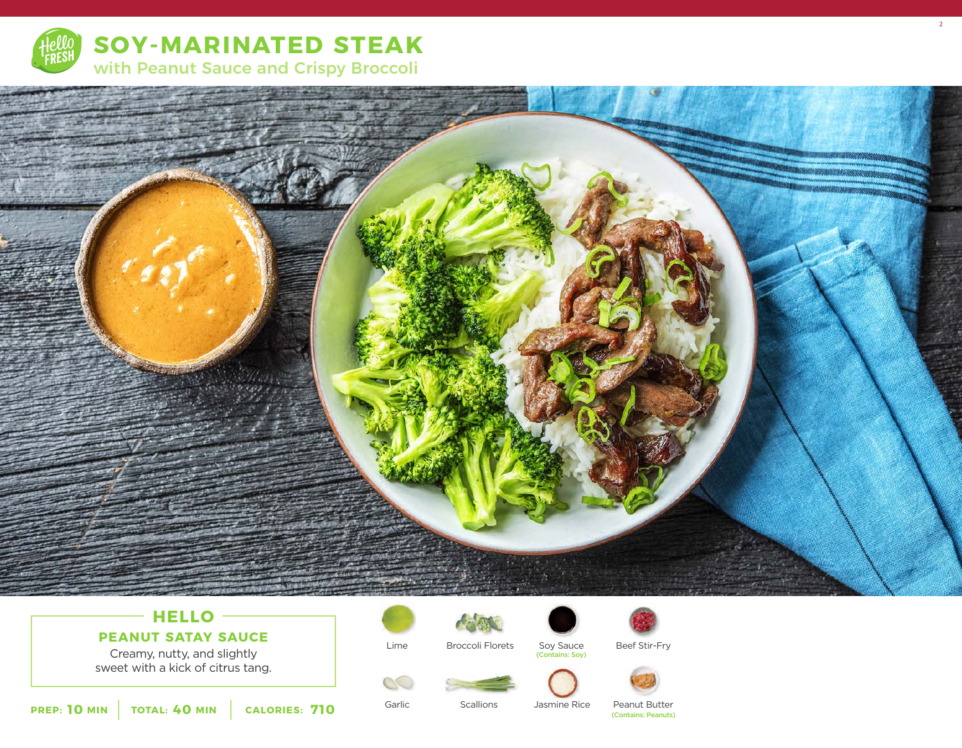



 $-$  **HELLO** $-$ **PEANUT SATAY SAUCE**

Creamy, nutty, and slightly sweet with a kick of citrus tang.

Lime

Garlic

 $\alpha$ 



Soy Sauce (Contains: Soy)



Beef Stir-Fry



**10** MIN | TOTAL: 40 MIN | CALORIES: 710

**Scallions** 

Jasmine Rice

Peanut Butter (Contains: Peanuts) 2